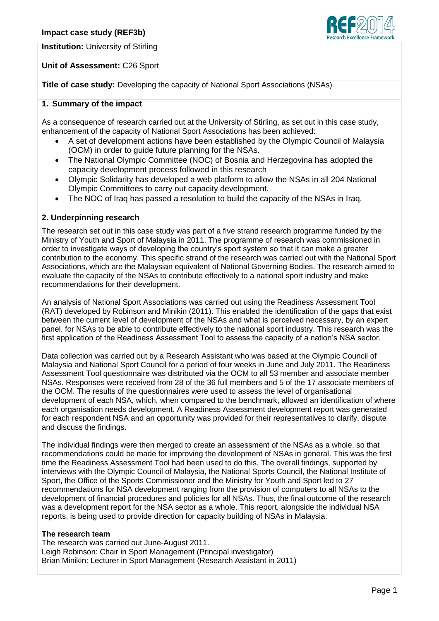

**Institution:** University of Stirling

## **Unit of Assessment:** C26 Sport

**Title of case study:** Developing the capacity of National Sport Associations (NSAs)

### **1. Summary of the impact**

As a consequence of research carried out at the University of Stirling, as set out in this case study, enhancement of the capacity of National Sport Associations has been achieved:

- A set of development actions have been established by the Olympic Council of Malaysia (OCM) in order to guide future planning for the NSAs.
- The National Olympic Committee (NOC) of Bosnia and Herzegovina has adopted the capacity development process followed in this research
- Olympic Solidarity has developed a web platform to allow the NSAs in all 204 National Olympic Committees to carry out capacity development.
- The NOC of Iraq has passed a resolution to build the capacity of the NSAs in Iraq.

## **2. Underpinning research**

The research set out in this case study was part of a five strand research programme funded by the Ministry of Youth and Sport of Malaysia in 2011. The programme of research was commissioned in order to investigate ways of developing the country's sport system so that it can make a greater contribution to the economy. This specific strand of the research was carried out with the National Sport Associations, which are the Malaysian equivalent of National Governing Bodies. The research aimed to evaluate the capacity of the NSAs to contribute effectively to a national sport industry and make recommendations for their development.

An analysis of National Sport Associations was carried out using the Readiness Assessment Tool (RAT) developed by Robinson and Minikin (2011). This enabled the identification of the gaps that exist between the current level of development of the NSAs and what is perceived necessary, by an expert panel, for NSAs to be able to contribute effectively to the national sport industry. This research was the first application of the Readiness Assessment Tool to assess the capacity of a nation's NSA sector.

Data collection was carried out by a Research Assistant who was based at the Olympic Council of Malaysia and National Sport Council for a period of four weeks in June and July 2011. The Readiness Assessment Tool questionnaire was distributed via the OCM to all 53 member and associate member NSAs. Responses were received from 28 of the 36 full members and 5 of the 17 associate members of the OCM. The results of the questionnaires were used to assess the level of organisational development of each NSA, which, when compared to the benchmark, allowed an identification of where each organisation needs development. A Readiness Assessment development report was generated for each respondent NSA and an opportunity was provided for their representatives to clarify, dispute and discuss the findings.

The individual findings were then merged to create an assessment of the NSAs as a whole, so that recommendations could be made for improving the development of NSAs in general. This was the first time the Readiness Assessment Tool had been used to do this. The overall findings, supported by interviews with the Olympic Council of Malaysia, the National Sports Council, the National Institute of Sport, the Office of the Sports Commissioner and the Ministry for Youth and Sport led to 27 recommendations for NSA development ranging from the provision of computers to all NSAs to the development of financial procedures and policies for all NSAs. Thus, the final outcome of the research was a development report for the NSA sector as a whole. This report, alongside the individual NSA reports, is being used to provide direction for capacity building of NSAs in Malaysia.

#### **The research team**

The research was carried out June-August 2011. Leigh Robinson: Chair in Sport Management (Principal investigator) Brian Minikin: Lecturer in Sport Management (Research Assistant in 2011)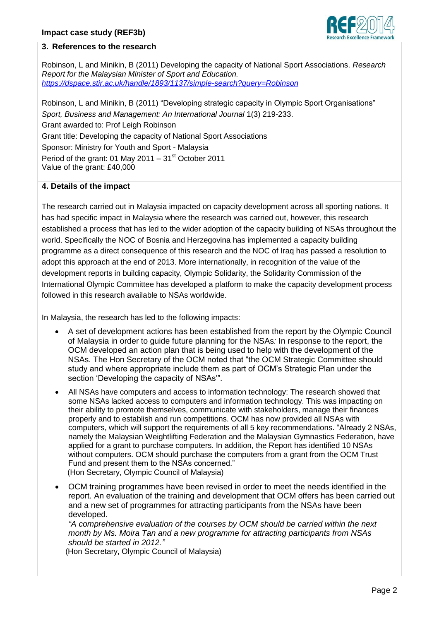

### **3. References to the research**

Robinson, L and Minikin, B (2011) Developing the capacity of National Sport Associations. *Research Report for the Malaysian Minister of Sport and Education. <https://dspace.stir.ac.uk/handle/1893/1137/simple-search?query=Robinson>*

Robinson, L and Minikin, B (2011) "Developing strategic capacity in Olympic Sport Organisations" *Sport, Business and Management: An International Journal* 1(3) 219-233. Grant awarded to: Prof Leigh Robinson Grant title: Developing the capacity of National Sport Associations Sponsor: Ministry for Youth and Sport - Malaysia Period of the grant: 01 May 2011 –  $31<sup>st</sup>$  October 2011 Value of the grant: £40,000

#### **4. Details of the impact**

The research carried out in Malaysia impacted on capacity development across all sporting nations. It has had specific impact in Malaysia where the research was carried out, however, this research established a process that has led to the wider adoption of the capacity building of NSAs throughout the world. Specifically the NOC of Bosnia and Herzegovina has implemented a capacity building programme as a direct consequence of this research and the NOC of Iraq has passed a resolution to adopt this approach at the end of 2013. More internationally, in recognition of the value of the development reports in building capacity, Olympic Solidarity, the Solidarity Commission of the International Olympic Committee has developed a platform to make the capacity development process followed in this research available to NSAs worldwide.

In Malaysia, the research has led to the following impacts:

- A set of development actions has been established from the report by the Olympic Council of Malaysia in order to guide future planning for the NSAs*:* In response to the report, the OCM developed an action plan that is being used to help with the development of the NSAs. The Hon Secretary of the OCM noted that "the OCM Strategic Committee should study and where appropriate include them as part of OCM's Strategic Plan under the section 'Developing the capacity of NSAs'"*.*
- All NSAs have computers and access to information technology: The research showed that some NSAs lacked access to computers and information technology. This was impacting on their ability to promote themselves, communicate with stakeholders, manage their finances properly and to establish and run competitions. OCM has now provided all NSAs with computers, which will support the requirements of all 5 key recommendations. "Already 2 NSAs, namely the Malaysian Weightlifting Federation and the Malaysian Gymnastics Federation, have applied for a grant to purchase computers. In addition, the Report has identified 10 NSAs without computers. OCM should purchase the computers from a grant from the OCM Trust Fund and present them to the NSAs concerned." (Hon Secretary, Olympic Council of Malaysia)
- OCM training programmes have been revised in order to meet the needs identified in the report. An evaluation of the training and development that OCM offers has been carried out and a new set of programmes for attracting participants from the NSAs have been developed.

*"A comprehensive evaluation of the courses by OCM should be carried within the next month by Ms. Moira Tan and a new programme for attracting participants from NSAs should be started in 2012."*

(Hon Secretary, Olympic Council of Malaysia)